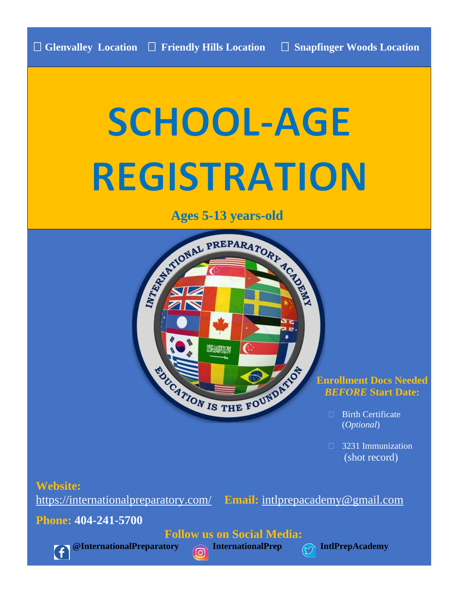# **SCHOOL-AGE REGISTRATION**

**Ages 5-13 years-old**



# **Enrollment Docs Needed** *BEFORE* **Start Date:**

- □ Birth Certificate (*Optional*)
- **3231 Immunization** (shot record)

# **Website:**

<https://internationalpreparatory.com/> **Email:** [intlprepacademy@gmail.com](mailto:intlprepacademy@gmail.com)

**Phone: 404-241-5700**

 **Follow us on Social Media:**



**@InternationalPreparatory InternationalPrep IntlPrepAcademy**

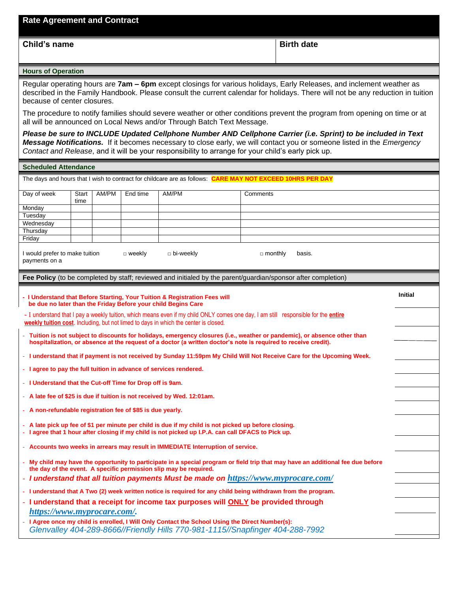**Child's name Birth date Birth date Birth date Birth date** 

#### **Hours of Operation**

Regular operating hours are **7am – 6pm** except closings for various holidays, Early Releases, and inclement weather as described in the Family Handbook. Please consult the current calendar for holidays. There will not be any reduction in tuition because of center closures.

The procedure to notify families should severe weather or other conditions prevent the program from opening on time or at all will be announced on Local News and/or Through Batch Text Message.

*Please be sure to INCLUDE Updated Cellphone Number AND Cellphone Carrier (i.e. Sprint) to be included in Text Message Notifications.* If it becomes necessary to close early, we will contact you or someone listed in the *Emergency Contact and Release*, and it will be your responsibility to arrange for your child's early pick up.

#### **Scheduled Attendance**

| The days and hours that I wish to contract for childcare are as follows: CARE MAY NOT EXCEED 10HRS PER DAY                                                                                                                                   |                                                                                                                                                                                                     |       |          |                                                                                                                                             |                                                                                                                                                                                                            |                |  |  |  |  |
|----------------------------------------------------------------------------------------------------------------------------------------------------------------------------------------------------------------------------------------------|-----------------------------------------------------------------------------------------------------------------------------------------------------------------------------------------------------|-------|----------|---------------------------------------------------------------------------------------------------------------------------------------------|------------------------------------------------------------------------------------------------------------------------------------------------------------------------------------------------------------|----------------|--|--|--|--|
| Day of week                                                                                                                                                                                                                                  | Start<br>time                                                                                                                                                                                       | AM/PM | End time | AM/PM                                                                                                                                       | Comments                                                                                                                                                                                                   |                |  |  |  |  |
| Monday                                                                                                                                                                                                                                       |                                                                                                                                                                                                     |       |          |                                                                                                                                             |                                                                                                                                                                                                            |                |  |  |  |  |
| Tuesday                                                                                                                                                                                                                                      |                                                                                                                                                                                                     |       |          |                                                                                                                                             |                                                                                                                                                                                                            |                |  |  |  |  |
| Wednesday                                                                                                                                                                                                                                    |                                                                                                                                                                                                     |       |          |                                                                                                                                             |                                                                                                                                                                                                            |                |  |  |  |  |
| Thursday                                                                                                                                                                                                                                     |                                                                                                                                                                                                     |       |          |                                                                                                                                             |                                                                                                                                                                                                            |                |  |  |  |  |
| Friday                                                                                                                                                                                                                                       |                                                                                                                                                                                                     |       |          |                                                                                                                                             |                                                                                                                                                                                                            |                |  |  |  |  |
| I would prefer to make tuition<br>$\Box$ bi-weekly<br>$\Box$ monthly<br>$\Box$ weekly<br>basis.<br>payments on a                                                                                                                             |                                                                                                                                                                                                     |       |          |                                                                                                                                             |                                                                                                                                                                                                            |                |  |  |  |  |
|                                                                                                                                                                                                                                              |                                                                                                                                                                                                     |       |          |                                                                                                                                             | Fee Policy (to be completed by staff; reviewed and initialed by the parent/guardian/sponsor after completion)                                                                                              |                |  |  |  |  |
|                                                                                                                                                                                                                                              |                                                                                                                                                                                                     |       |          | - I Understand that Before Starting, Your Tuition & Registration Fees will<br>be due no later than the Friday Before your child Begins Care |                                                                                                                                                                                                            | <b>Initial</b> |  |  |  |  |
|                                                                                                                                                                                                                                              |                                                                                                                                                                                                     |       |          | weekly tuition cost. Including, but not limed to days in which the center is closed.                                                        | - I understand that I pay a weekly tuition, which means even if my child ONLY comes one day, I am still responsible for the <i>entire</i>                                                                  |                |  |  |  |  |
| - Tuition is not subject to discounts for holidays, emergency closures (i.e., weather or pandemic), or absence other than<br>hospitalization, or absence at the request of a doctor (a written doctor's note is required to receive credit). |                                                                                                                                                                                                     |       |          |                                                                                                                                             |                                                                                                                                                                                                            |                |  |  |  |  |
| - I understand that if payment is not received by Sunday 11:59pm My Child Will Not Receive Care for the Upcoming Week.                                                                                                                       |                                                                                                                                                                                                     |       |          |                                                                                                                                             |                                                                                                                                                                                                            |                |  |  |  |  |
|                                                                                                                                                                                                                                              |                                                                                                                                                                                                     |       |          | - I agree to pay the full tuition in advance of services rendered.                                                                          |                                                                                                                                                                                                            |                |  |  |  |  |
| - I Understand that the Cut-off Time for Drop off is 9am.                                                                                                                                                                                    |                                                                                                                                                                                                     |       |          |                                                                                                                                             |                                                                                                                                                                                                            |                |  |  |  |  |
|                                                                                                                                                                                                                                              |                                                                                                                                                                                                     |       |          | - A late fee of \$25 is due if tuition is not received by Wed. 12:01am.                                                                     |                                                                                                                                                                                                            |                |  |  |  |  |
| - A non-refundable registration fee of \$85 is due yearly.                                                                                                                                                                                   |                                                                                                                                                                                                     |       |          |                                                                                                                                             |                                                                                                                                                                                                            |                |  |  |  |  |
|                                                                                                                                                                                                                                              |                                                                                                                                                                                                     |       |          |                                                                                                                                             | - A late pick up fee of \$1 per minute per child is due if my child is not picked up before closing.<br>- I agree that 1 hour after closing if my child is not picked up I.P.A. can call DFACS to Pick up. |                |  |  |  |  |
|                                                                                                                                                                                                                                              |                                                                                                                                                                                                     |       |          | - Accounts two weeks in arrears may result in IMMEDIATE Interruption of service.                                                            |                                                                                                                                                                                                            |                |  |  |  |  |
|                                                                                                                                                                                                                                              | My child may have the opportunity to participate in a special program or field trip that may have an additional fee due before<br>the day of the event. A specific permission slip may be required. |       |          |                                                                                                                                             |                                                                                                                                                                                                            |                |  |  |  |  |
|                                                                                                                                                                                                                                              |                                                                                                                                                                                                     |       |          |                                                                                                                                             | - I understand that all tuition payments Must be made on https://www.myprocare.com/                                                                                                                        |                |  |  |  |  |
|                                                                                                                                                                                                                                              |                                                                                                                                                                                                     |       |          |                                                                                                                                             | - I understand that A Two (2) week written notice is required for any child being withdrawn from the program.                                                                                              |                |  |  |  |  |
| https://www.myprocare.com/.                                                                                                                                                                                                                  |                                                                                                                                                                                                     |       |          |                                                                                                                                             | - I understand that a receipt for income tax purposes will ONLY be provided through                                                                                                                        |                |  |  |  |  |
|                                                                                                                                                                                                                                              |                                                                                                                                                                                                     |       |          |                                                                                                                                             |                                                                                                                                                                                                            |                |  |  |  |  |
|                                                                                                                                                                                                                                              |                                                                                                                                                                                                     |       |          |                                                                                                                                             | I Agree once my child is enrolled, I Will Only Contact the School Using the Direct Number(s):<br>Glenvalley 404-289-8666//Friendly Hills 770-981-1115//Snapfinger 404-288-7992                             |                |  |  |  |  |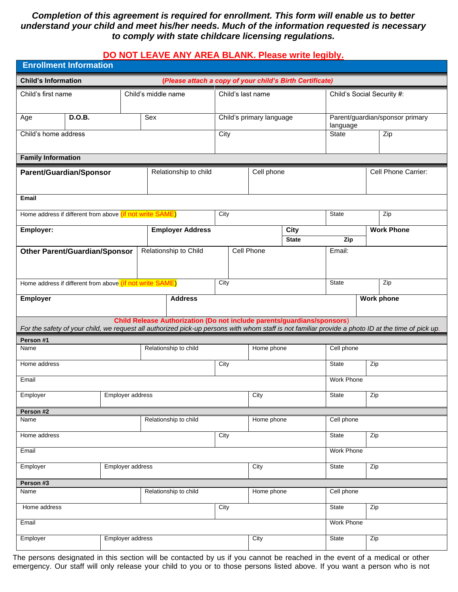## *Completion of this agreement is required for enrollment. This form will enable us to better understand your child and meet his/her needs. Much of the information requested is necessary to comply with state childcare licensing regulations.*

## **DO NOT LEAVE ANY AREA BLANK. Please write legibly.**

| <b>Enrollment Information</b>                                                          |                       |                                                                         |                   |                          |                             |                                             |                                                                                                                                                    |  |  |  |  |
|----------------------------------------------------------------------------------------|-----------------------|-------------------------------------------------------------------------|-------------------|--------------------------|-----------------------------|---------------------------------------------|----------------------------------------------------------------------------------------------------------------------------------------------------|--|--|--|--|
| <b>Child's Information</b><br>(Please attach a copy of your child's Birth Certificate) |                       |                                                                         |                   |                          |                             |                                             |                                                                                                                                                    |  |  |  |  |
| Child's first name                                                                     |                       | Child's middle name                                                     | Child's last name |                          |                             | Child's Social Security #:                  |                                                                                                                                                    |  |  |  |  |
| <b>D.O.B.</b><br>Age                                                                   |                       | Sex                                                                     |                   | Child's primary language |                             | Parent/guardian/sponsor primary<br>language |                                                                                                                                                    |  |  |  |  |
| Child's home address                                                                   |                       |                                                                         | City              |                          |                             | <b>State</b>                                | Zip                                                                                                                                                |  |  |  |  |
| <b>Family Information</b>                                                              |                       |                                                                         |                   |                          |                             |                                             |                                                                                                                                                    |  |  |  |  |
| Parent/Guardian/Sponsor                                                                |                       | Relationship to child                                                   |                   | Cell phone               |                             |                                             | Cell Phone Carrier:                                                                                                                                |  |  |  |  |
| <b>Email</b>                                                                           |                       |                                                                         |                   |                          |                             |                                             |                                                                                                                                                    |  |  |  |  |
| Home address if different from above (if not write SAME)                               |                       |                                                                         | City              |                          |                             | <b>State</b>                                | Zip                                                                                                                                                |  |  |  |  |
| Employer:                                                                              |                       | <b>Employer Address</b>                                                 |                   |                          | <b>City</b><br><b>State</b> | Zip                                         | <b>Work Phone</b>                                                                                                                                  |  |  |  |  |
| <b>Other Parent/Guardian/Sponsor</b>                                                   |                       | Relationship to Child                                                   |                   | <b>Cell Phone</b>        |                             | Email:                                      |                                                                                                                                                    |  |  |  |  |
| Home address if different from above (if not write SAME)                               |                       | City                                                                    |                   |                          |                             | <b>State</b>                                | Zip                                                                                                                                                |  |  |  |  |
| Employer                                                                               |                       | <b>Address</b>                                                          |                   |                          |                             |                                             | <b>Work phone</b>                                                                                                                                  |  |  |  |  |
|                                                                                        |                       | Child Release Authorization (Do not include parents/guardians/sponsors) |                   |                          |                             |                                             | For the safety of your child, we request all authorized pick-up persons with whom staff is not familiar provide a photo ID at the time of pick up. |  |  |  |  |
| Person #1                                                                              |                       |                                                                         |                   |                          |                             |                                             |                                                                                                                                                    |  |  |  |  |
| Name                                                                                   |                       | Relationship to child                                                   |                   | Home phone               |                             | Cell phone                                  |                                                                                                                                                    |  |  |  |  |
| Home address                                                                           |                       |                                                                         |                   |                          | <b>State</b>                | Zip                                         |                                                                                                                                                    |  |  |  |  |
| Email                                                                                  |                       |                                                                         |                   |                          |                             | Work Phone                                  |                                                                                                                                                    |  |  |  |  |
| Employer                                                                               | Employer address      |                                                                         |                   | City                     |                             |                                             | Zip                                                                                                                                                |  |  |  |  |
| Person #2                                                                              |                       |                                                                         |                   |                          |                             |                                             |                                                                                                                                                    |  |  |  |  |
| Name                                                                                   |                       | Relationship to child                                                   |                   | Home phone               |                             | Cell phone                                  |                                                                                                                                                    |  |  |  |  |
| Home address                                                                           |                       |                                                                         |                   |                          | State                       | Zip                                         |                                                                                                                                                    |  |  |  |  |
| Email                                                                                  |                       |                                                                         |                   | <b>Work Phone</b>        |                             |                                             |                                                                                                                                                    |  |  |  |  |
| Employer                                                                               | Employer address      | City                                                                    |                   |                          | State<br>Zip                |                                             |                                                                                                                                                    |  |  |  |  |
| Person #3                                                                              |                       |                                                                         |                   |                          |                             |                                             |                                                                                                                                                    |  |  |  |  |
| Name                                                                                   | Relationship to child |                                                                         | Home phone        |                          | Cell phone                  |                                             |                                                                                                                                                    |  |  |  |  |
| Home address                                                                           |                       | City                                                                    |                   |                          |                             | State<br>Zip                                |                                                                                                                                                    |  |  |  |  |
| Email                                                                                  |                       |                                                                         |                   |                          |                             | <b>Work Phone</b>                           |                                                                                                                                                    |  |  |  |  |
| Employer address<br>Employer                                                           |                       |                                                                         | City              |                          | <b>State</b>                | Zip                                         |                                                                                                                                                    |  |  |  |  |

The persons designated in this section will be contacted by us if you cannot be reached in the event of a medical or other emergency. Our staff will only release your child to you or to those persons listed above. If you want a person who is not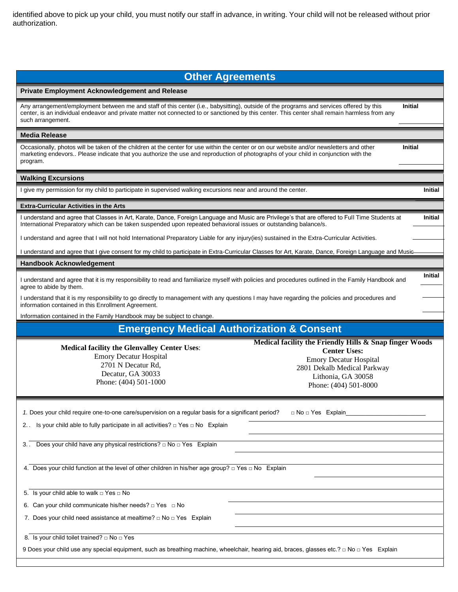identified above to pick up your child, you must notify our staff in advance, in writing. Your child will not be released without prior authorization.

### **Other Agreements**

#### **Private Employment Acknowledgement and Release**

Any arrangement/employment between me and staff of this center (i.e., babysitting), outside of the programs and services offered by this center, is an individual endeavor and private matter not connected to or sanctioned by this center. This center shall remain harmless from any such arrangement. **Initial**

#### **Media Release**

Occasionally, photos will be taken of the children at the center for use within the center or on our website and/or newsletters and other marketing endevors.. Please indicate that you authorize the use and reproduction of photographs of your child in conjunction with the program.

#### **Walking Excursions**

I give my permission for my child to participate in supervised walking excursions near and around the center. **Initial**

#### **Extra-Curricular Activities in the Arts**

I understand and agree that Classes in Art, Karate, Dance, Foreign Language and Music are Privilege's that are offered to Full Time Students at International Preparatory which can be taken suspended upon repeated behavioral issues or outstanding balance/s.

I understand and agree that I will not hold International Preparatory Liable for any injury(ies) sustained in the Extra-Curricular Activities.

I understand and agree that I give consent for my child to participate in Extra-Curricular Classes for Art, Karate, Dance, Foreign Language and Music

#### **Handbook Acknowledgement**

I understand and agree that it is my responsibility to read and familiarize myself with policies and procedures outlined in the Family Handbook and agree to abide by them. **Initial**

I understand that it is my responsibility to go directly to management with any questions I may have regarding the policies and procedures and information contained in this Enrollment Agreement.

Information contained in the Family Handbook may be subject to change.

# **Emergency Medical Authorization & Consent**

**Medical facility the Glenvalley Center Uses**: Emory Decatur Hospital 2701 N Decatur Rd, Decatur, GA 30033 Phone: (404) 501-1000

| Medical facility the Friendly Hills & Snap finger Woods |
|---------------------------------------------------------|
| <b>Center Uses:</b>                                     |
| <b>Emory Decatur Hospital</b>                           |
| 2801 Dekalb Medical Parkway                             |
| Lithonia. GA 30058                                      |
| Phone: (404) 501-8000                                   |
|                                                         |

**Initial**

**Initial**

| 1. Does your child require one-to-one care/supervision on a regular basis for a significant period?<br>□ No □ Yes Explain                 |  |  |  |  |  |  |  |
|-------------------------------------------------------------------------------------------------------------------------------------------|--|--|--|--|--|--|--|
| 2. Is your child able to fully participate in all activities? $\Box$ Yes $\Box$ No Explain                                                |  |  |  |  |  |  |  |
|                                                                                                                                           |  |  |  |  |  |  |  |
| Does your child have any physical restrictions? $\Box$ No $\Box$ Yes Explain<br>3. .                                                      |  |  |  |  |  |  |  |
|                                                                                                                                           |  |  |  |  |  |  |  |
| 4. Does your child function at the level of other children in his/her age group? $\Box$ Yes $\Box$ No Explain                             |  |  |  |  |  |  |  |
|                                                                                                                                           |  |  |  |  |  |  |  |
|                                                                                                                                           |  |  |  |  |  |  |  |
| 5. Is your child able to walk $\Box$ Yes $\Box$ No                                                                                        |  |  |  |  |  |  |  |
| 6. Can your child communicate his/her needs? $\Box$ Yes $\Box$ No                                                                         |  |  |  |  |  |  |  |
| 7. Does your child need assistance at mealtime? $\Box$ No $\Box$ Yes Explain                                                              |  |  |  |  |  |  |  |
|                                                                                                                                           |  |  |  |  |  |  |  |
| 8. Is your child toilet trained? $\Box$ No $\Box$ Yes                                                                                     |  |  |  |  |  |  |  |
| 9 Does your child use any special equipment, such as breathing machine, wheelchair, hearing aid, braces, glasses etc.? □ No □ Yes Explain |  |  |  |  |  |  |  |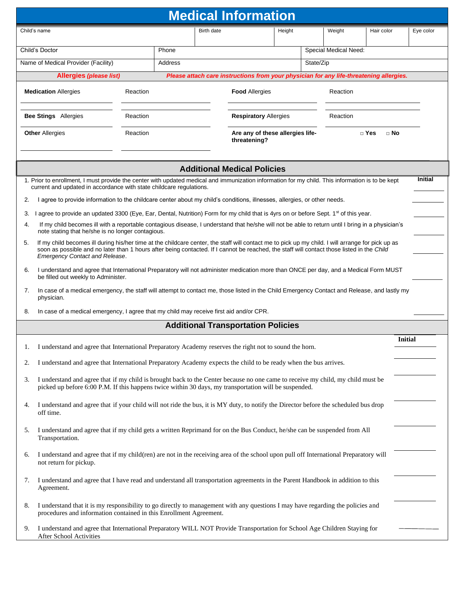| <b>Medical Information</b> |                                                                                                                                                                                                                                                                                                                                          |          |  |            |                                                                                         |                              |                       |          |                         |                |
|----------------------------|------------------------------------------------------------------------------------------------------------------------------------------------------------------------------------------------------------------------------------------------------------------------------------------------------------------------------------------|----------|--|------------|-----------------------------------------------------------------------------------------|------------------------------|-----------------------|----------|-------------------------|----------------|
|                            | Child's name                                                                                                                                                                                                                                                                                                                             |          |  | Birth date |                                                                                         | Height                       |                       | Weight   | Hair color              | Eye color      |
|                            | Child's Doctor                                                                                                                                                                                                                                                                                                                           | Phone    |  |            |                                                                                         |                              | Special Medical Need: |          |                         |                |
|                            | Name of Medical Provider (Facility)                                                                                                                                                                                                                                                                                                      | Address  |  |            |                                                                                         | State/Zip                    |                       |          |                         |                |
|                            | <b>Allergies (please list)</b>                                                                                                                                                                                                                                                                                                           |          |  |            | Please attach care instructions from your physician for any life-threatening allergies. |                              |                       |          |                         |                |
|                            | <b>Medication Allergies</b><br>Reaction                                                                                                                                                                                                                                                                                                  |          |  |            | <b>Food Allergies</b>                                                                   |                              |                       | Reaction |                         |                |
|                            | <b>Bee Stings</b> Allergies                                                                                                                                                                                                                                                                                                              | Reaction |  |            |                                                                                         | <b>Respiratory Allergies</b> |                       |          | Reaction                |                |
|                            | <b>Other Allergies</b>                                                                                                                                                                                                                                                                                                                   | Reaction |  |            | Are any of these allergies life-<br>threatening?                                        |                              |                       |          | $\Box$ Yes<br>$\Box$ No |                |
|                            |                                                                                                                                                                                                                                                                                                                                          |          |  |            |                                                                                         |                              |                       |          |                         |                |
|                            |                                                                                                                                                                                                                                                                                                                                          |          |  |            | <b>Additional Medical Policies</b>                                                      |                              |                       |          |                         |                |
|                            | 1. Prior to enrollment, I must provide the center with updated medical and immunization information for my child. This information is to be kept<br>current and updated in accordance with state childcare regulations.                                                                                                                  |          |  |            |                                                                                         |                              |                       |          |                         | <b>Initial</b> |
| 2.                         | I agree to provide information to the childcare center about my child's conditions, illnesses, allergies, or other needs.                                                                                                                                                                                                                |          |  |            |                                                                                         |                              |                       |          |                         |                |
| 3.                         | I agree to provide an updated 3300 (Eye, Ear, Dental, Nutrition) Form for my child that is 4yrs on or before Sept. 1 <sup>st</sup> of this year.                                                                                                                                                                                         |          |  |            |                                                                                         |                              |                       |          |                         |                |
| 4.                         | If my child becomes ill with a reportable contagious disease, I understand that he/she will not be able to return until I bring in a physician's<br>note stating that he/she is no longer contagious.                                                                                                                                    |          |  |            |                                                                                         |                              |                       |          |                         |                |
| 5.                         | If my child becomes ill during his/her time at the childcare center, the staff will contact me to pick up my child. I will arrange for pick up as<br>soon as possible and no later than 1 hours after being contacted. If I cannot be reached, the staff will contact those listed in the Child<br><b>Emergency Contact and Release.</b> |          |  |            |                                                                                         |                              |                       |          |                         |                |
| 6.                         | I understand and agree that International Preparatory will not administer medication more than ONCE per day, and a Medical Form MUST<br>be filled out weekly to Administer.                                                                                                                                                              |          |  |            |                                                                                         |                              |                       |          |                         |                |
| 7.                         | In case of a medical emergency, the staff will attempt to contact me, those listed in the Child Emergency Contact and Release, and lastly my<br>physician.                                                                                                                                                                               |          |  |            |                                                                                         |                              |                       |          |                         |                |
| 8.                         | In case of a medical emergency, I agree that my child may receive first aid and/or CPR.                                                                                                                                                                                                                                                  |          |  |            |                                                                                         |                              |                       |          |                         |                |
|                            |                                                                                                                                                                                                                                                                                                                                          |          |  |            | <b>Additional Transportation Policies</b>                                               |                              |                       |          |                         |                |
| 1.                         | I understand and agree that International Preparatory Academy reserves the right not to sound the horn.                                                                                                                                                                                                                                  |          |  |            |                                                                                         |                              |                       |          |                         | Initial        |
| 2.                         | I understand and agree that International Preparatory Academy expects the child to be ready when the bus arrives.                                                                                                                                                                                                                        |          |  |            |                                                                                         |                              |                       |          |                         |                |
| 3.                         | I understand and agree that if my child is brought back to the Center because no one came to receive my child, my child must be<br>picked up before 6:00 P.M. If this happens twice within 30 days, my transportation will be suspended.                                                                                                 |          |  |            |                                                                                         |                              |                       |          |                         |                |
| 4.                         | I understand and agree that if your child will not ride the bus, it is MY duty, to notify the Director before the scheduled bus drop<br>off time.                                                                                                                                                                                        |          |  |            |                                                                                         |                              |                       |          |                         |                |
| 5.                         | I understand and agree that if my child gets a written Reprimand for on the Bus Conduct, he/she can be suspended from All<br>Transportation.                                                                                                                                                                                             |          |  |            |                                                                                         |                              |                       |          |                         |                |
| 6.                         | I understand and agree that if my child(ren) are not in the receiving area of the school upon pull off International Preparatory will<br>not return for pickup.                                                                                                                                                                          |          |  |            |                                                                                         |                              |                       |          |                         |                |
| 7.                         | I understand and agree that I have read and understand all transportation agreements in the Parent Handbook in addition to this<br>Agreement.                                                                                                                                                                                            |          |  |            |                                                                                         |                              |                       |          |                         |                |
| 8.                         | I understand that it is my responsibility to go directly to management with any questions I may have regarding the policies and<br>procedures and information contained in this Enrollment Agreement.                                                                                                                                    |          |  |            |                                                                                         |                              |                       |          |                         |                |
| 9.                         | I understand and agree that International Preparatory WILL NOT Provide Transportation for School Age Children Staying for<br>After School Activities                                                                                                                                                                                     |          |  |            |                                                                                         |                              |                       |          |                         |                |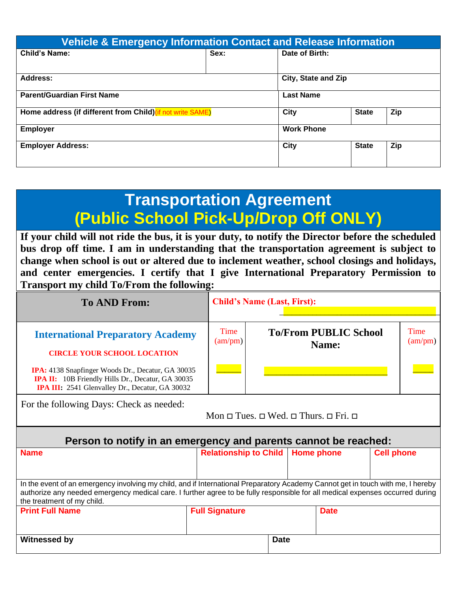| <b>Vehicle &amp; Emergency Information Contact and Release Information</b> |                     |              |              |     |  |  |  |  |  |
|----------------------------------------------------------------------------|---------------------|--------------|--------------|-----|--|--|--|--|--|
| Date of Birth:<br><b>Child's Name:</b><br>Sex:                             |                     |              |              |     |  |  |  |  |  |
| Address:                                                                   | City, State and Zip |              |              |     |  |  |  |  |  |
| <b>Parent/Guardian First Name</b>                                          | <b>Last Name</b>    |              |              |     |  |  |  |  |  |
| Home address (if different from Child) (if not write SAME)                 | <b>City</b>         | <b>State</b> | Zip          |     |  |  |  |  |  |
| <b>Employer</b>                                                            | <b>Work Phone</b>   |              |              |     |  |  |  |  |  |
| <b>Employer Address:</b>                                                   |                     | City         | <b>State</b> | Zip |  |  |  |  |  |

# **Transportation Agreement (Public School Pick-Up/Drop Off ONLY)**

**If your child will not ride the bus, it is your duty, to notify the Director before the scheduled bus drop off time. I am in understanding that the transportation agreement is subject to change when school is out or altered due to inclement weather, school closings and holidays, and center emergencies. I certify that I give International Preparatory Permission to Transport my child To/From the following:**

| <b>To AND From:</b>                                                                                                                                                                                                                                                                            |                              | <b>Child's Name (Last, First):</b> |                                       |                   |  |  |  |  |  |
|------------------------------------------------------------------------------------------------------------------------------------------------------------------------------------------------------------------------------------------------------------------------------------------------|------------------------------|------------------------------------|---------------------------------------|-------------------|--|--|--|--|--|
| <b>International Preparatory Academy</b><br><b>CIRCLE YOUR SCHOOL LOCATION</b><br><b>IPA:</b> 4138 Snapfinger Woods Dr., Decatur, GA 30035<br><b>IPA II:</b> 10B Friendly Hills Dr., Decatur, GA 30035<br>IPA III: 2541 Glenvalley Dr., Decatur, GA 30032                                      | Time<br>(am/pm)              |                                    | <b>To/From PUBLIC School</b><br>Name: | Time<br>(am/pm)   |  |  |  |  |  |
| For the following Days: Check as needed:<br>$Mon \sqcup Tues. \sqcup Wed. \sqcup Thus. \sqcup Fri. \sqcup$                                                                                                                                                                                     |                              |                                    |                                       |                   |  |  |  |  |  |
| Person to notify in an emergency and parents cannot be reached:                                                                                                                                                                                                                                |                              |                                    |                                       |                   |  |  |  |  |  |
| <b>Name</b>                                                                                                                                                                                                                                                                                    | <b>Relationship to Child</b> |                                    | <b>Home phone</b>                     | <b>Cell phone</b> |  |  |  |  |  |
| In the event of an emergency involving my child, and if International Preparatory Academy Cannot get in touch with me, I hereby<br>authorize any needed emergency medical care. I further agree to be fully responsible for all medical expenses occurred during<br>the treatment of my child. |                              |                                    |                                       |                   |  |  |  |  |  |
| <b>Print Full Name</b>                                                                                                                                                                                                                                                                         | <b>Full Signature</b>        |                                    | <b>Date</b>                           |                   |  |  |  |  |  |
| Witnessed by                                                                                                                                                                                                                                                                                   |                              | <b>Date</b>                        |                                       |                   |  |  |  |  |  |